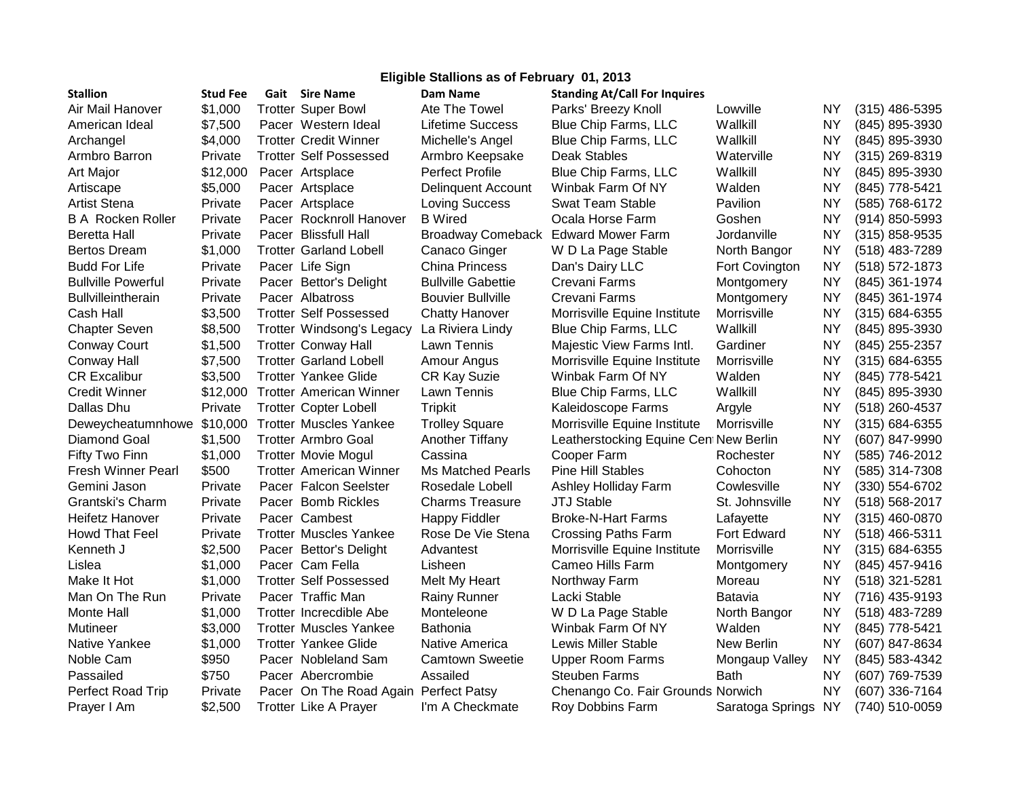| Eligible Stallions as of February 01, 2013 |                 |  |                                  |                                     |                                        |                     |           |                    |  |  |  |  |
|--------------------------------------------|-----------------|--|----------------------------------|-------------------------------------|----------------------------------------|---------------------|-----------|--------------------|--|--|--|--|
| <b>Stallion</b>                            | <b>Stud Fee</b> |  | <b>Gait</b> Sire Name            | Dam Name                            | <b>Standing At/Call For Inquires</b>   |                     |           |                    |  |  |  |  |
| Air Mail Hanover                           | \$1,000         |  | <b>Trotter Super Bowl</b>        | Ate The Towel                       | Parks' Breezy Knoll                    | Lowville            | NY        | $(315)$ 486-5395   |  |  |  |  |
| American Ideal                             | \$7,500         |  | Pacer Western Ideal              | Lifetime Success                    | <b>Blue Chip Farms, LLC</b>            | Wallkill            | NY        | (845) 895-3930     |  |  |  |  |
| Archangel                                  | \$4,000         |  | <b>Trotter Credit Winner</b>     | Michelle's Angel                    | Blue Chip Farms, LLC                   | Wallkill            | <b>NY</b> | (845) 895-3930     |  |  |  |  |
| Armbro Barron                              | Private         |  | <b>Trotter Self Possessed</b>    | Armbro Keepsake                     | <b>Deak Stables</b>                    | Waterville          | NY.       | $(315)$ 269-8319   |  |  |  |  |
| Art Major                                  | \$12,000        |  | Pacer Artsplace                  | <b>Perfect Profile</b>              | Blue Chip Farms, LLC                   | Wallkill            | <b>NY</b> | (845) 895-3930     |  |  |  |  |
| Artiscape                                  | \$5,000         |  | Pacer Artsplace                  | <b>Delinquent Account</b>           | Winbak Farm Of NY                      | Walden              | NΥ        | (845) 778-5421     |  |  |  |  |
| <b>Artist Stena</b>                        | Private         |  | Pacer Artsplace                  | <b>Loving Success</b>               | Swat Team Stable                       | Pavilion            | NY        | (585) 768-6172     |  |  |  |  |
| <b>B A Rocken Roller</b>                   | Private         |  | Pacer Rocknroll Hanover          | <b>B</b> Wired                      | Ocala Horse Farm                       | Goshen              | <b>NY</b> | (914) 850-5993     |  |  |  |  |
| Beretta Hall                               | Private         |  | Pacer Blissfull Hall             | Broadway Comeback Edward Mower Farm |                                        | Jordanville         | <b>NY</b> | $(315)$ 858-9535   |  |  |  |  |
| <b>Bertos Dream</b>                        | \$1,000         |  | <b>Trotter Garland Lobell</b>    | Canaco Ginger                       | W D La Page Stable                     | North Bangor        | <b>NY</b> | (518) 483-7289     |  |  |  |  |
| <b>Budd For Life</b>                       | Private         |  | Pacer Life Sign                  | <b>China Princess</b>               | Dan's Dairy LLC                        | Fort Covington      | ΝY        | $(518) 572 - 1873$ |  |  |  |  |
| <b>Bullville Powerful</b>                  | Private         |  | Pacer Bettor's Delight           | <b>Bullville Gabettie</b>           | Crevani Farms                          | Montgomery          | <b>NY</b> | (845) 361-1974     |  |  |  |  |
| <b>Bullvilleintherain</b>                  | Private         |  | Pacer Albatross                  | <b>Bouvier Bullville</b>            | Crevani Farms                          | Montgomery          | <b>NY</b> | (845) 361-1974     |  |  |  |  |
| Cash Hall                                  | \$3,500         |  | <b>Trotter Self Possessed</b>    | <b>Chatty Hanover</b>               | Morrisville Equine Institute           | Morrisville         | <b>NY</b> | $(315) 684 - 6355$ |  |  |  |  |
| <b>Chapter Seven</b>                       | \$8,500         |  | <b>Trotter Windsong's Legacy</b> | La Riviera Lindy                    | Blue Chip Farms, LLC                   | Wallkill            | <b>NY</b> | (845) 895-3930     |  |  |  |  |
| <b>Conway Court</b>                        | \$1,500         |  | <b>Trotter Conway Hall</b>       | Lawn Tennis                         | Majestic View Farms Intl.              | Gardiner            | <b>NY</b> | (845) 255-2357     |  |  |  |  |
| Conway Hall                                | \$7,500         |  | <b>Trotter Garland Lobell</b>    | Amour Angus                         | Morrisville Equine Institute           | Morrisville         | NΥ        | $(315) 684 - 6355$ |  |  |  |  |
| <b>CR Excalibur</b>                        | \$3,500         |  | <b>Trotter Yankee Glide</b>      | <b>CR Kay Suzie</b>                 | Winbak Farm Of NY                      | Walden              | <b>NY</b> | (845) 778-5421     |  |  |  |  |
| <b>Credit Winner</b>                       | \$12,000        |  | <b>Trotter American Winner</b>   | Lawn Tennis                         | <b>Blue Chip Farms, LLC</b>            | Wallkill            | <b>NY</b> | (845) 895-3930     |  |  |  |  |
| Dallas Dhu                                 | Private         |  | <b>Trotter Copter Lobell</b>     | <b>Tripkit</b>                      | Kaleidoscope Farms                     | Argyle              | <b>NY</b> | (518) 260-4537     |  |  |  |  |
| Deweycheatumnhowe                          | \$10,000        |  | <b>Trotter Muscles Yankee</b>    | <b>Trolley Square</b>               | Morrisville Equine Institute           | Morrisville         | NY        | $(315) 684 - 6355$ |  |  |  |  |
| Diamond Goal                               | \$1,500         |  | <b>Trotter Armbro Goal</b>       | Another Tiffany                     | Leatherstocking Equine Cent New Berlin |                     | NΥ        | (607) 847-9990     |  |  |  |  |
| Fifty Two Finn                             | \$1,000         |  | <b>Trotter Movie Mogul</b>       | Cassina                             | Cooper Farm                            | Rochester           | <b>NY</b> | (585) 746-2012     |  |  |  |  |
| Fresh Winner Pearl                         | \$500           |  | <b>Trotter American Winner</b>   | Ms Matched Pearls                   | <b>Pine Hill Stables</b>               | Cohocton            | NY        | (585) 314-7308     |  |  |  |  |
| Gemini Jason                               | Private         |  | Pacer Falcon Seelster            | Rosedale Lobell                     | Ashley Holliday Farm                   | Cowlesville         | <b>NY</b> | (330) 554-6702     |  |  |  |  |
| Grantski's Charm                           | Private         |  | Pacer Bomb Rickles               | <b>Charms Treasure</b>              | <b>JTJ Stable</b>                      | St. Johnsville      | <b>NY</b> | (518) 568-2017     |  |  |  |  |
| Heifetz Hanover                            | Private         |  | Pacer Cambest                    | <b>Happy Fiddler</b>                | <b>Broke-N-Hart Farms</b>              | Lafayette           | <b>NY</b> | $(315)$ 460-0870   |  |  |  |  |
| <b>Howd That Feel</b>                      | Private         |  | <b>Trotter Muscles Yankee</b>    | Rose De Vie Stena                   | <b>Crossing Paths Farm</b>             | Fort Edward         | <b>NY</b> | $(518)$ 466-5311   |  |  |  |  |
| Kenneth J                                  | \$2,500         |  | Pacer Bettor's Delight           | Advantest                           | Morrisville Equine Institute           | Morrisville         | <b>NY</b> | $(315) 684 - 6355$ |  |  |  |  |
| Lislea                                     | \$1,000         |  | Pacer Cam Fella                  | Lisheen                             | Cameo Hills Farm                       | Montgomery          | <b>NY</b> | (845) 457-9416     |  |  |  |  |
| Make It Hot                                | \$1,000         |  | <b>Trotter Self Possessed</b>    | Melt My Heart                       | Northway Farm                          | Moreau              | <b>NY</b> | $(518)$ 321-5281   |  |  |  |  |
| Man On The Run                             | Private         |  | Pacer Traffic Man                | <b>Rainy Runner</b>                 | Lacki Stable                           | Batavia             | <b>NY</b> | (716) 435-9193     |  |  |  |  |
| Monte Hall                                 | \$1,000         |  | Trotter Increcdible Abe          | Monteleone                          | W D La Page Stable                     | North Bangor        | <b>NY</b> | (518) 483-7289     |  |  |  |  |
| Mutineer                                   | \$3,000         |  | <b>Trotter Muscles Yankee</b>    | <b>Bathonia</b>                     | Winbak Farm Of NY                      | Walden              | <b>NY</b> | (845) 778-5421     |  |  |  |  |
| Native Yankee                              | \$1,000         |  | <b>Trotter Yankee Glide</b>      | Native America                      | <b>Lewis Miller Stable</b>             | New Berlin          | <b>NY</b> | (607) 847-8634     |  |  |  |  |
| Noble Cam                                  | \$950           |  | Pacer Nobleland Sam              | <b>Camtown Sweetie</b>              | <b>Upper Room Farms</b>                | Mongaup Valley      | <b>NY</b> | (845) 583-4342     |  |  |  |  |
| Passailed                                  | \$750           |  | Pacer Abercrombie                | Assailed                            | <b>Steuben Farms</b>                   | Bath                | NY        | (607) 769-7539     |  |  |  |  |
| Perfect Road Trip                          | Private         |  | Pacer On The Road Again          | <b>Perfect Patsy</b>                | Chenango Co. Fair Grounds Norwich      |                     | NY        | (607) 336-7164     |  |  |  |  |
| Prayer I Am                                | \$2,500         |  | <b>Trotter Like A Prayer</b>     | I'm A Checkmate                     | Roy Dobbins Farm                       | Saratoga Springs NY |           | (740) 510-0059     |  |  |  |  |